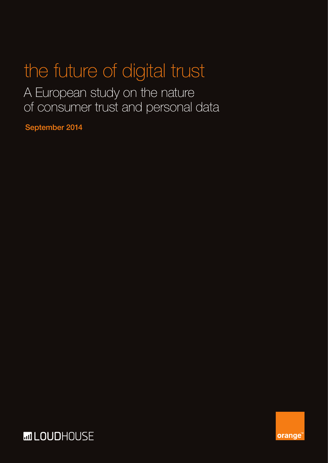### the future of digital trust

A European study on the nature of consumer trust and personal data

September 2014



**orange**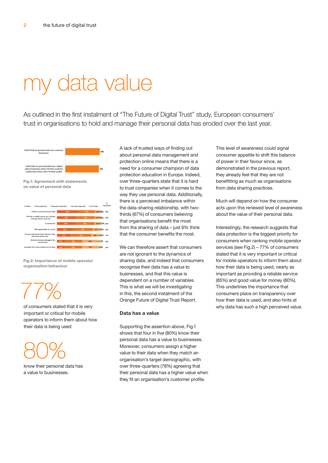### my data value

As outlined in the first instalment of "The Future of Digital Trust" study, European consumers' trust in organisations to hold and manage their personal data has eroded over the last year.



**Fig.2: Importance of mobile operator organisation behaviour**

## 77%

of consumers stated that it is very important or critical for mobile operators to inform them about how their data is being used

## 80%

know their personal data has a value to businesses.

A lack of trusted ways of finding out about personal data management and protection online means that there is a need for a consumer champion of data protection education in Europe. Indeed, over three-quarters state that it is hard to trust companies when it comes to the way they use personal data. Additionally, there is a perceived imbalance within the data-sharing relationship, with twothirds (67%) of consumers believing that organisations benefit the most from the sharing of data – just 6% think that the consumer benefits the most.

We can therefore assert that consumers are not ignorant to the dynamics of sharing data, and indeed that consumers recognise their data has a value to businesses, and that this value is dependent on a number of variables. This is what we will be investigating in this, the second instalment of the Orange Future of Digital Trust Report.

#### **Data has a value**

Supporting the assertion above, Fig.1 shows that four in five (80%) know their personal data has a value to businesses. Moreover, consumers assign a higher value to their data when they match an organisation's target demographic, with over three-quarters (78%) agreeing that their personal data has a higher value when they fit an organisation's customer profile.

This level of awareness could signal consumer appetite to shift this balance of power in their favour since, as demonstrated in the previous report, they already feel that they are not benefitting as much as organisations from data sharing practices.

Much will depend on how the consumer acts upon this renewed level of awareness about the value of their personal data.

Interestingly, the research suggests that data protection is the biggest priority for consumers when ranking mobile operator services (see Fig.2) – 77% of consumers stated that it is very important or critical for mobile operators to inform them about how their data is being used, nearly as important as providing a reliable service (85%) and good value for money (80%). This underlines the importance that consumers place on transparency over how their data is used, and also hints at why data has such a high perceived value.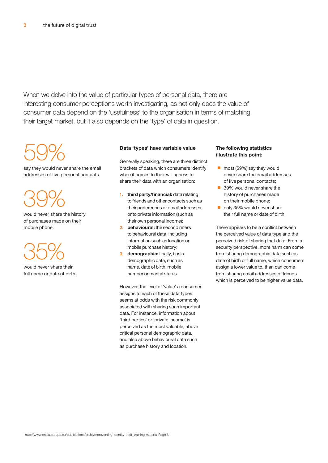When we delve into the value of particular types of personal data, there are interesting consumer perceptions worth investigating, as not only does the value of consumer data depend on the 'usefulness' to the organisation in terms of matching their target market, but it also depends on the 'type' of data in question.

## 59%

say they would never share the email addresses of five personal contacts.

# 39%

would never share the history of purchases made on their mobile phone.

## 35%

would never share their full name or date of birth.

#### **Data 'types' have variable value**

Generally speaking, there are three distinct brackets of data which consumers identify when it comes to their willingness to share their data with an organisation:

- 1. **third party/financial:** data relating to friends and other contacts such as their preferences or email addresses, or to private information (such as their own personal income);
- 2. **behavioural:** the second refers to behavioural data, including information such as location or mobile purchase history;
- 3. **demographic:** finally, basic demographic data, such as name, date of birth, mobile number or marital status.

However, the level of 'value' a consumer assigns to each of these data types seems at odds with the risk commonly associated with sharing such important data. For instance, information about 'third parties' or 'private income' is perceived as the most valuable, above critical personal demographic data, and also above behavioural data such as purchase history and location.

### **The following statistics illustrate this point:**

- most (59%) say they would never share the email addresses of five personal contacts;
- 39% would never share the history of purchases made on their mobile phone;
- only 35% would never share their full name or date of birth.

There appears to be a conflict between the perceived value of data type and the perceived risk of sharing that data. From a security perspective, more harm can come from sharing demographic data such as date of birth or full name, which consumers assign a lower value to, than can come from sharing email addresses of friends which is perceived to be higher value data.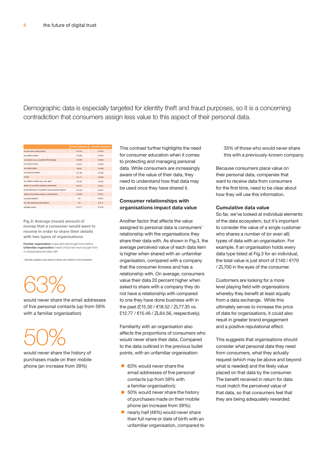Demographic data is especially targeted for identity theft and fraud purposes, so it is a concerning contradiction that consumers assign less value to this aspect of their personal data.

|                                                       | familiar organisation | unfamiliar organisation |
|-------------------------------------------------------|-----------------------|-------------------------|
| my full name or date of birth                         | £12.16                | £15.22                  |
| my mobile number                                      | £13.96                | \$16.20                 |
| my location (e.g. via mobile GPS tracking)            | £13.35                | \$16.02                 |
| my annual income                                      | <b>£14.61</b>         | \$16.50                 |
| my marital status                                     | £9.63                 | £12.83                  |
| my sexual orientation                                 | £11.38                | £13.85                  |
| my job                                                | P11 11                | £13.83                  |
| my children's details (e.g. sex, age)*                | F12 44                | £14.53                  |
| details of my family members' preferences             | 914.07                | £16.21                  |
| email addresses of 5 people in close personal network | £14.46                | £16.67                  |
| history of purchases made on mobile phone             | \$13.25               | £16.31                  |
| my postal address                                     | n/a                   | \$15.67                 |
| my main personal email address                        | n/a                   | £15.11                  |
| average (mean)                                        | <b>£12.77</b>         | \$15.30                 |

**Fig.3: Average (mean) amount of money that a consumer would want to receive in order to share their details with two types of organisations**

Familiar organisation: knew and had bought from before Unfamiliar organisation: heard of but had never bought from or shared personal data with

tes question was asked of those with children in the house

## 63%

would never share the email addresses of five personal contacts (up from 59% with a familiar organisation)

## 50%

would never share the history of purchases made on their mobile phone (an increase from 39%)

This contrast further highlights the need for consumer education when it comes to protecting and managing personal data. While consumers are increasingly aware of the value of their data, they need to understand how that data may be used once they have shared it.

#### **Consumer relationships with organisations impact data value**

Another factor that affects the value assigned to personal data is consumers' relationship with the organisations they share their data with. As shown in Fig.3, the average perceived value of each data item is higher when shared with an unfamiliar organisation, compared with a company that the consumer knows and has a relationship with. On average, consumers value their data 20 percent higher when asked to share with a company they do not have a relationship with compared to one they have done business with in the past (£15.30 / €18.52 / ZL77.35 vs. £12.77 / €15.46 / ZL64.56, respectively).

Familiarity with an organisation also affects the proportions of consumers who would never share their data. Compared to the data outlined in the previous bullet points, with an unfamiliar organisation:

- 63% would never share the email addresses of five personal contacts (up from 59% with a familiar organisation);
- 50% would never share the history of purchases made on their mobile phone (an increase from 39%);
- nearly half (48%) would never share their full name or date of birth with an unfamiliar organisation, compared to

35% of those who would never share this with a previously-known company.

Because consumers place value on their personal data, companies that want to receive data from consumers for the first time, need to be clear about how they will use this information.

#### **Cumulative data value**

So far, we've looked at individual elements of the data ecosystem, but it's important to consider the value of a single customer who shares a number of (or even all) types of data with an organisation. For example, if an organisation holds every data type listed at Fig.3 for an individual, the total value is just short of £140 / €170 / ZL700 in the eyes of the consumer.

Customers are looking for a more level playing field with organisations whereby they benefit at least equally from a data exchange. While this ultimately serves to increase the price of data for organisations, it could also result in greater brand engagement and a positive reputational effect.

This suggests that organisations should consider what personal data they need from consumers, what they actually request (which may be above and beyond what is needed) and the likely value placed on that data by the consumer. The benefit received in return for data must match the perceived value of that data, so that consumers feel that they are being adequately rewarded.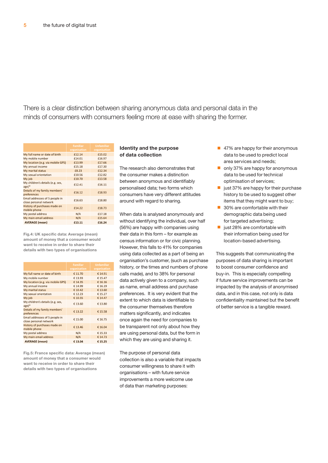There is a clear distinction between sharing anonymous data and personal data in the minds of consumers with consumers feeling more at ease with sharing the former.

|                                                          | <b>Familiar</b> | <b>Unfamiliar</b> |
|----------------------------------------------------------|-----------------|-------------------|
|                                                          | organisation    | organisation      |
| My full name or date of birth                            | £12.14          | £15.02            |
| My mobile number                                         | £14.01          | £16.97            |
| My location (e.g. via mobile GPS)                        | £13.99          | £17.66            |
| My annual income                                         | £15.18          | £17.30            |
| My marital status                                        | £8.23           | £12.34            |
| My sexual orientation                                    | £10.56          | £12.82            |
| My job                                                   | £10.70          | £13.58            |
| My children's details (e.g. sex,<br>$age)*$              | £12.41          | £16.11            |
| Details of my family members'<br>preferences             | £16.12          | £18.93            |
| Email addresses of 5 people in<br>close personal network | £16.63          | £18.80            |
| History of purchases made on<br>mobile phone             | £14.22          | £18.73            |
| My postal address                                        | N/A             | £17.18            |
| My main email address                                    | N/A             | £15.64            |
| <b>AVERAGE (mean)</b>                                    | £13.11          | £16.24            |

**Fig.4: UK specific data: Average (mean) amount of money that a consumer would want to receive in order to share their details with two types of organisations**

|                                                          | <b>Familiar</b><br>organisation | <b>Unfamiliar</b><br>organisation |
|----------------------------------------------------------|---------------------------------|-----------------------------------|
| My full name or date of birth                            | € 11.70                         | € 14.91                           |
| My mobile number                                         | € 13.93                         | € 15.47                           |
| My location (e.g. via mobile GPS)                        | € 14.35                         | € 16.16                           |
| My annual income                                         | € 14.99                         | €16.19                            |
| My marital status                                        | € 10.42                         | € 13.60                           |
| My sexual orientation                                    | €12.23                          | € 15.27                           |
| My job                                                   | € 10.55                         | € 14.47                           |
| My children's details (e.g. sex,<br>age)*                | € 13.60                         | € 13.80                           |
| Details of my family members'<br>preferences             | € 13.22                         | € 15.58                           |
| Email addresses of 5 people in<br>close personal network | € 15.00                         | € 16.75                           |
| History of purchases made on<br>mobile phone             | € 13.46                         | € 16.04                           |
| My postal address                                        | N/A                             | € 15.33                           |
| My main email address                                    | N/A                             | € 14.73                           |
| <b>AVERAGE</b> (mean)                                    | € 13.04                         | €15.25                            |

**Fig.5: France specific data: Average (mean) amount of money that a consumer would want to receive in order to share their details with two types of organisations**

#### **Identity and the purpose of data collection**

The research also demonstrates that the consumer makes a distinction between anonymous and identifiably personalised data; two forms which consumers have very different attitudes around with regard to sharing.

When data is analysed anonymously and without identifying the individual, over half (56%) are happy with companies using their data in this form – for example as census information or for civic planning. However, this falls to 41% for companies using data collected as a part of being an organisation's customer, (such as purchase history, or the times and numbers of phone calls made), and to 38% for personal data actively given to a company, such as name, email address and purchase preferences. It is very evident that the extent to which data is identifiable to the consumer themselves therefore matters significantly, and indicates once again the need for companies to be transparent not only about how they are using personal data, but the form in which they are using and sharing it.

The purpose of personal data collection is also a variable that impacts consumer willingness to share it with organisations – with future service improvements a more welcome use of data than marketing purposes:

- 47% are happy for their anonymous data to be used to predict local area services and needs;
- only 37% are happy for anonymous data to be used for technical optimisation of services;
- just 37% are happy for their purchase history to be used to suggest other items that they might want to buy;
- 30% are comfortable with their demographic data being used for targeted advertising:
- just 28% are comfortable with their information being used for location-based advertising.

This suggests that communicating the purposes of data sharing is important to boost consumer confidence and buy-in. This is especially compelling if future service improvements can be impacted by the analysis of anonymised data, and in this case, not only is data confidentiality maintained but the benefit of better service is a tangible reward.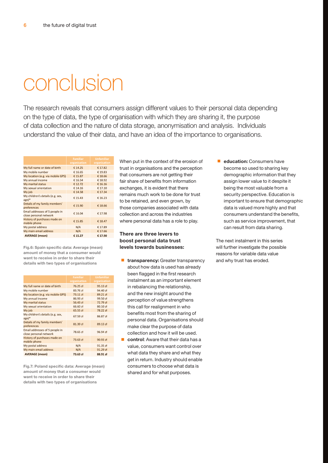### conclusion

The research reveals that consumers assign different values to their personal data depending on the type of data, the type of organisation with which they are sharing it, the purpose of data collection and the nature of data storage, anonymisation and analysis. Individuals understand the value of their data, and have an idea of the importance to organisations.

|                                                          | <b>Familiar</b><br>organisation | <b>Unfamiliar</b><br>organisation |
|----------------------------------------------------------|---------------------------------|-----------------------------------|
| My full name or date of birth                            | € 14.25                         | € 17.82                           |
| My mobile number                                         | € 16.65                         | €19.83                            |
| My location (e.g. via mobile GPS)                        | € 15.87                         | € 18.66                           |
| My annual income                                         | € 16.54                         | € 18.92                           |
| My marital status                                        | € 12.72                         | € 16.16                           |
| My sexual orientation                                    | € 14.16                         | € 17.10                           |
| My job                                                   | € 14.58                         | € 17.34                           |
| My children's details (e.g. sex,<br>$age)*$              | € 15.43                         | €16.23                            |
| Details of my family members'<br>preferences             | € 15.90                         | €18.66                            |
| Email addresses of 5 people in<br>close personal network | € 16.04                         | € 17.98                           |
| History of purchases made on<br>mobile phone             | € 15.85                         | € 18.47                           |
| My postal address                                        | N/A                             | € 17.89                           |
| My main email address                                    | N/A                             | € 17.66                           |
| <b>AVERAGE</b> (mean)                                    | € 15.27                         | € 17.90                           |

**Fig.6: Spain specific data: Average (mean) amount of money that a consumer would want to receive in order to share their details with two types of organisations**

|                                                          | <b>Familiar</b><br>organisation | <b>Unfamiliar</b><br>organisation |
|----------------------------------------------------------|---------------------------------|-----------------------------------|
| My full name or date of birth                            | 76.25 zł                        | 95.13 zł                          |
| My mobile number                                         | 83.76 zł                        | 94.40 zł                          |
| My location (e.g. via mobile GPS)                        | $73.11$ zł                      | 89.21 zł                          |
| My annual income                                         | 86.93 zł                        | 99.50 zł                          |
| My marital status                                        | 56.43 zł                        | 72.79 zł                          |
| My sexual orientation                                    | 66.60 zł                        | 80.10 zł                          |
| My job                                                   | $65.55$ zł                      | 78.22 zł                          |
| My children's details (e.g. sex,<br>age)*                | 67.59 zł                        | 86.87 zł                          |
| Details of my family members'<br>preferences             | 81.39 zł                        | 89.13 zł                          |
| Email addresses of 5 people in<br>close personal network | 78.65 zł                        | 96.94 zł                          |
| History of purchases made on<br>mobile phone             | $73.63$ zł                      | $90.93$ zł                        |
| My postal address                                        | N/A                             | 91.35 zł                          |
| My main email address                                    | N/A                             | 91.29 zł                          |
| <b>AVERAGE</b> (mean)                                    | 73.63 zł                        | 88.91 zł                          |

**Fig.7: Poland specific data: Average (mean) amount of money that a consumer would want to receive in order to share their details with two types of organisations**

When put in the context of the erosion of trust in organisations and the perception that consumers are not getting their fair share of benefits from information exchanges, it is evident that there remains much work to be done for trust to be retained, and even grown, by those companies associated with data collection and across the industries where personal data has a role to play.

#### **There are three levers to boost personal data trust levels towards businesses:**

- **transparency:** Greater transparency about how data is used has already been flagged in the first research instalment as an important element in rebalancing the relationship, and the new insight around the perception of value strengthens this call for realignment in who benefits most from the sharing of personal data. Organisations should make clear the purpose of data collection and how it will be used.
- control: Aware that their data has a value, consumers want control over what data they share and what they get in return. Industry should enable consumers to choose what data is shared and for what purposes.

■ **education:** Consumers have become so used to sharing key demographic information that they assign lower value to it despite it being the most valuable from a security perspective. Education is important to ensure that demographic data is valued more highly and that consumers understand the benefits, such as service improvement, that can result from data sharing.

The next instalment in this series will further investigate the possible reasons for variable data value and why trust has eroded.